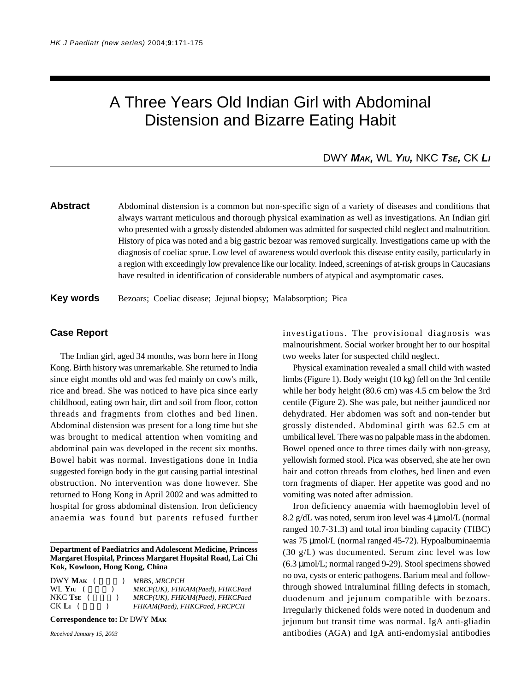# A Three Years Old Indian Girl with Abdominal Distension and Bizarre Eating Habit

## DWY *MAK,* WL *YIU,* NKC *TSE,* CK *LI*

## **Abstract** Abdominal distension is a common but non-specific sign of a variety of diseases and conditions that always warrant meticulous and thorough physical examination as well as investigations. An Indian girl who presented with a grossly distended abdomen was admitted for suspected child neglect and malnutrition. History of pica was noted and a big gastric bezoar was removed surgically. Investigations came up with the diagnosis of coeliac sprue. Low level of awareness would overlook this disease entity easily, particularly in a region with exceedingly low prevalence like our locality. Indeed, screenings of at-risk groups in Caucasians have resulted in identification of considerable numbers of atypical and asymptomatic cases.

**Key words** Bezoars; Coeliac disease; Jejunal biopsy; Malabsorption; Pica

#### **Case Report**

The Indian girl, aged 34 months, was born here in Hong Kong. Birth history was unremarkable. She returned to India since eight months old and was fed mainly on cow's milk, rice and bread. She was noticed to have pica since early childhood, eating own hair, dirt and soil from floor, cotton threads and fragments from clothes and bed linen. Abdominal distension was present for a long time but she was brought to medical attention when vomiting and abdominal pain was developed in the recent six months. Bowel habit was normal. Investigations done in India suggested foreign body in the gut causing partial intestinal obstruction. No intervention was done however. She returned to Hong Kong in April 2002 and was admitted to hospital for gross abdominal distension. Iron deficiency anaemia was found but parents refused further

**Department of Paediatrics and Adolescent Medicine, Princess Margaret Hospital, Princess Margaret Hopsital Road, Lai Chi Kok, Kowloon, Hong Kong, China**

| $DWY$ Mak $($            | <b>MBBS. MRCPCH</b>             |
|--------------------------|---------------------------------|
| $WL$ Y <sub>IU</sub> $($ | MRCP(UK), FHKAM(Paed), FHKCPaed |
| $NKC$ Tse $($            | MRCP(UK), FHKAM(Paed), FHKCPaed |
| CK L <sub>I</sub> (      | FHKAM(Paed), FHKCPaed, FRCPCH   |
|                          |                                 |

**Correspondence to:** Dr DWY **MAK**

*Received January 15, 2003*

investigations. The provisional diagnosis was malnourishment. Social worker brought her to our hospital two weeks later for suspected child neglect.

Physical examination revealed a small child with wasted limbs (Figure 1). Body weight (10 kg) fell on the 3rd centile while her body height (80.6 cm) was 4.5 cm below the 3rd centile (Figure 2). She was pale, but neither jaundiced nor dehydrated. Her abdomen was soft and non-tender but grossly distended. Abdominal girth was 62.5 cm at umbilical level. There was no palpable mass in the abdomen. Bowel opened once to three times daily with non-greasy, yellowish formed stool. Pica was observed, she ate her own hair and cotton threads from clothes, bed linen and even torn fragments of diaper. Her appetite was good and no vomiting was noted after admission.

Iron deficiency anaemia with haemoglobin level of 8.2 g/dL was noted, serum iron level was 4 µmol/L (normal ranged 10.7-31.3) and total iron binding capacity (TIBC) was 75 µmol/L (normal ranged 45-72). Hypoalbuminaemia (30 g/L) was documented. Serum zinc level was low (6.3 µmol/L; normal ranged 9-29). Stool specimens showed no ova, cysts or enteric pathogens. Barium meal and followthrough showed intraluminal filling defects in stomach, duodenum and jejunum compatible with bezoars. Irregularly thickened folds were noted in duodenum and jejunum but transit time was normal. IgA anti-gliadin antibodies (AGA) and IgA anti-endomysial antibodies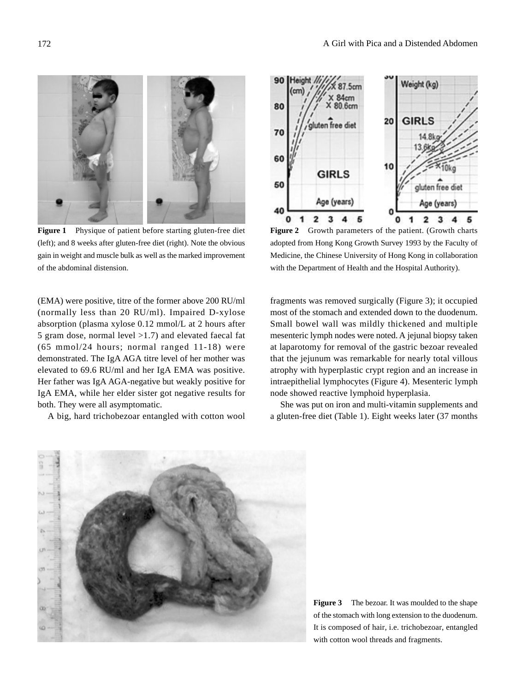

**Figure 1** Physique of patient before starting gluten-free diet (left); and 8 weeks after gluten-free diet (right). Note the obvious gain in weight and muscle bulk as well as the marked improvement of the abdominal distension.

(EMA) were positive, titre of the former above 200 RU/ml (normally less than 20 RU/ml). Impaired D-xylose absorption (plasma xylose 0.12 mmol/L at 2 hours after 5 gram dose, normal level >1.7) and elevated faecal fat (65 mmol/24 hours; normal ranged 11-18) were demonstrated. The IgA AGA titre level of her mother was elevated to 69.6 RU/ml and her IgA EMA was positive. Her father was IgA AGA-negative but weakly positive for IgA EMA, while her elder sister got negative results for both. They were all asymptomatic.

A big, hard trichobezoar entangled with cotton wool



**Figure 2** Growth parameters of the patient. (Growth charts adopted from Hong Kong Growth Survey 1993 by the Faculty of Medicine, the Chinese University of Hong Kong in collaboration with the Department of Health and the Hospital Authority).

fragments was removed surgically (Figure 3); it occupied most of the stomach and extended down to the duodenum. Small bowel wall was mildly thickened and multiple mesenteric lymph nodes were noted. A jejunal biopsy taken at laparotomy for removal of the gastric bezoar revealed that the jejunum was remarkable for nearly total villous atrophy with hyperplastic crypt region and an increase in intraepithelial lymphocytes (Figure 4). Mesenteric lymph node showed reactive lymphoid hyperplasia.

She was put on iron and multi-vitamin supplements and a gluten-free diet (Table 1). Eight weeks later (37 months



**Figure 3** The bezoar. It was moulded to the shape of the stomach with long extension to the duodenum. It is composed of hair, i.e. trichobezoar, entangled with cotton wool threads and fragments.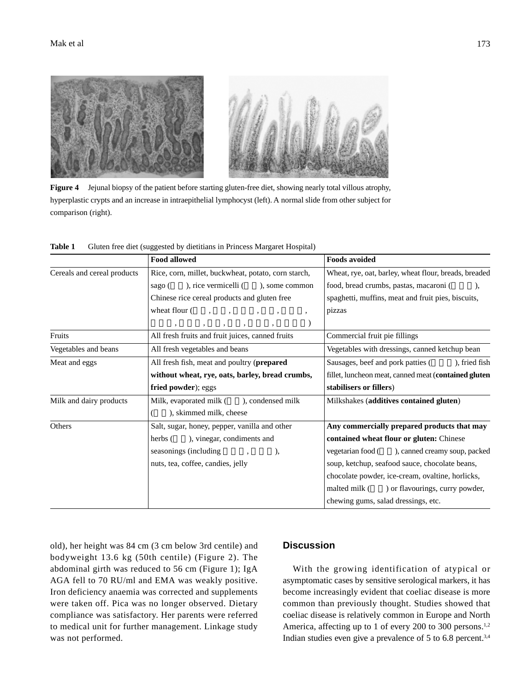

**Figure 4** Jejunal biopsy of the patient before starting gluten-free diet, showing nearly total villous atrophy, hyperplastic crypts and an increase in intraepithelial lymphocyst (left). A normal slide from other subject for comparison (right).

|                             | <b>Food allowed</b>                                 | <b>Foods avoided</b>                                  |
|-----------------------------|-----------------------------------------------------|-------------------------------------------------------|
| Cereals and cereal products | Rice, corn, millet, buckwheat, potato, corn starch, | Wheat, rye, oat, barley, wheat flour, breads, breaded |
|                             | ), rice vermicelli (<br>), some common<br>sago (    | food, bread crumbs, pastas, macaroni (<br>$\lambda$   |
|                             | Chinese rice cereal products and gluten free        | spaghetti, muffins, meat and fruit pies, biscuits,    |
|                             | wheat flour (<br>$\overline{\phantom{a}}$           | pizzas                                                |
|                             |                                                     |                                                       |
| Fruits                      | All fresh fruits and fruit juices, canned fruits    | Commercial fruit pie fillings                         |
| Vegetables and beans        | All fresh vegetables and beans                      | Vegetables with dressings, canned ketchup bean        |
| Meat and eggs               | All fresh fish, meat and poultry (prepared          | ), fried fish<br>Sausages, beef and pork patties (    |
|                             | without wheat, rye, oats, barley, bread crumbs,     | fillet, luncheon meat, canned meat (contained gluten) |
|                             | fried powder); eggs                                 | stabilisers or fillers)                               |
| Milk and dairy products     | Milk, evaporated milk (<br>), condensed milk        | Milkshakes (additives contained gluten)               |
|                             | ), skimmed milk, cheese                             |                                                       |
| Others                      | Salt, sugar, honey, pepper, vanilla and other       | Any commercially prepared products that may           |
|                             | ), vinegar, condiments and<br>herbs (               | contained wheat flour or gluten: Chinese              |
|                             | seasonings (including)<br>),                        | ), canned creamy soup, packed<br>vegetarian food (    |
|                             | nuts, tea, coffee, candies, jelly                   | soup, ketchup, seafood sauce, chocolate beans,        |
|                             |                                                     | chocolate powder, ice-cream, ovaltine, horlicks,      |
|                             |                                                     | ) or flavourings, curry powder,<br>malted milk (      |
|                             |                                                     | chewing gums, salad dressings, etc.                   |

**Table 1** Gluten free diet (suggested by dietitians in Princess Margaret Hospital)

old), her height was 84 cm (3 cm below 3rd centile) and bodyweight 13.6 kg (50th centile) (Figure 2). The abdominal girth was reduced to 56 cm (Figure 1); IgA AGA fell to 70 RU/ml and EMA was weakly positive. Iron deficiency anaemia was corrected and supplements were taken off. Pica was no longer observed. Dietary compliance was satisfactory. Her parents were referred to medical unit for further management. Linkage study was not performed.

### **Discussion**

With the growing identification of atypical or asymptomatic cases by sensitive serological markers, it has become increasingly evident that coeliac disease is more common than previously thought. Studies showed that coeliac disease is relatively common in Europe and North America, affecting up to 1 of every 200 to 300 persons.<sup>1,2</sup> Indian studies even give a prevalence of  $5$  to  $6.8$  percent.<sup>3,4</sup>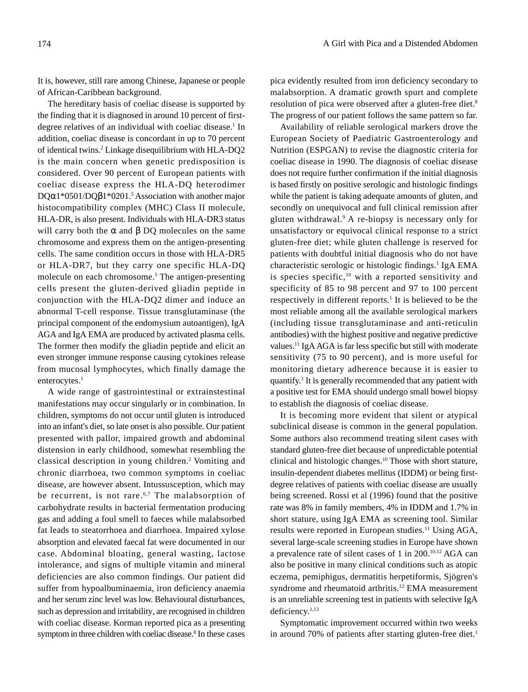It is, however, still rare among Chinese, Japanese or people of African-Caribbean background.

The hereditary basis of coeliac disease is supported by the finding that it is diagnosed in around 10 percent of firstdegree relatives of an individual with coeliac disease.<sup>1</sup> In addition, coeliac disease is concordant in up to 70 percent of identical twins.2 Linkage disequilibrium with HLA-DQ2 is the main concern when genetic predisposition is considered. Over 90 percent of European patients with coeliac disease express the HLA-DQ heterodimer DQα1\*0501/DQβ1\*0201.<sup>5</sup> Association with another major histocompatibility complex (MHC) Class II molecule, HLA-DR, is also present. Individuals with HLA-DR3 status will carry both the  $\alpha$  and  $\beta$  DQ molecules on the same chromosome and express them on the antigen-presenting cells. The same condition occurs in those with HLA-DR5 or HLA-DR7, but they carry one specific HLA-DQ molecule on each chromosome.<sup>5</sup> The antigen-presenting cells present the gluten-derived gliadin peptide in conjunction with the HLA-DQ2 dimer and induce an abnormal T-cell response. Tissue transglutaminase (the principal component of the endomysium autoantigen), IgA AGA and IgA EMA are produced by activated plasma cells. The former then modify the gliadin peptide and elicit an even stronger immune response causing cytokines release from mucosal lymphocytes, which finally damage the enterocytes.<sup>1</sup>

A wide range of gastrointestinal or extrainstestinal manifestations may occur singularly or in combination. In children, symptoms do not occur until gluten is introduced into an infant's diet, so late onset is also possible. Our patient presented with pallor, impaired growth and abdominal distension in early childhood, somewhat resembling the classical description in young children.<sup>2</sup> Vomiting and chronic diarrhoea, two common symptoms in coeliac disease, are however absent. Intussusception, which may be recurrent, is not rare.<sup>6,7</sup> The malabsorption of carbohydrate results in bacterial fermentation producing gas and adding a foul smell to faeces while malabsorbed fat leads to steatorrhoea and diarrhoea. Impaired xylose absorption and elevated faecal fat were documented in our case. Abdominal bloating, general wasting, lactose intolerance, and signs of multiple vitamin and mineral deficiencies are also common findings. Our patient did suffer from hypoalbuminaemia, iron deficiency anaemia and her serum zinc level was low. Behavioural disturbances, such as depression and irritability, are recognised in children with coeliac disease. Korman reported pica as a presenting symptom in three children with coeliac disease.<sup>8</sup> In these cases

pica evidently resulted from iron deficiency secondary to malabsorption. A dramatic growth spurt and complete resolution of pica were observed after a gluten-free diet.<sup>8</sup> The progress of our patient follows the same pattern so far.

Availability of reliable serological markers drove the European Society of Paediatric Gastroenterology and Nutrition (ESPGAN) to revise the diagnostic criteria for coeliac disease in 1990. The diagnosis of coeliac disease does not require further confirmation if the initial diagnosis is based firstly on positive serologic and histologic findings while the patient is taking adequate amounts of gluten, and secondly on unequivocal and full clinical remission after gluten withdrawal.9 A re-biopsy is necessary only for unsatisfactory or equivocal clinical response to a strict gluten-free diet; while gluten challenge is reserved for patients with doubtful initial diagnosis who do not have characteristic serologic or histologic findings.<sup>1</sup> IgA EMA is species specific,<sup>10</sup> with a reported sensitivity and specificity of 85 to 98 percent and 97 to 100 percent respectively in different reports.<sup>1</sup> It is believed to be the most reliable among all the available serological markers (including tissue transglutaminase and anti-reticulin antibodies) with the highest positive and negative predictive values.11 IgA AGA is far less specific but still with moderate sensitivity (75 to 90 percent), and is more useful for monitoring dietary adherence because it is easier to quantify.<sup>1</sup> It is generally recommended that any patient with a positive test for EMA should undergo small bowel biopsy to establish the diagnosis of coeliac disease.

It is becoming more evident that silent or atypical subclinical disease is common in the general population. Some authors also recommend treating silent cases with standard gluten-free diet because of unpredictable potential clinical and histologic changes.10 Those with short stature, insulin-dependent diabetes mellitus (IDDM) or being firstdegree relatives of patients with coeliac disease are usually being screened. Rossi et al (1996) found that the positive rate was 8% in family members, 4% in IDDM and 1.7% in short stature, using IgA EMA as screening tool. Similar results were reported in European studies.11 Using AGA, several large-scale screening studies in Europe have shown a prevalence rate of silent cases of 1 in 200.10,12 AGA can also be positive in many clinical conditions such as atopic eczema, pemiphigus, dermatitis herpetiformis, Sjögren's syndrome and rheumatoid arthritis.<sup>12</sup> EMA measurement is an unreliable screening test in patients with selective IgA deficiency.1,13

Symptomatic improvement occurred within two weeks in around 70% of patients after starting gluten-free diet.<sup>1</sup>